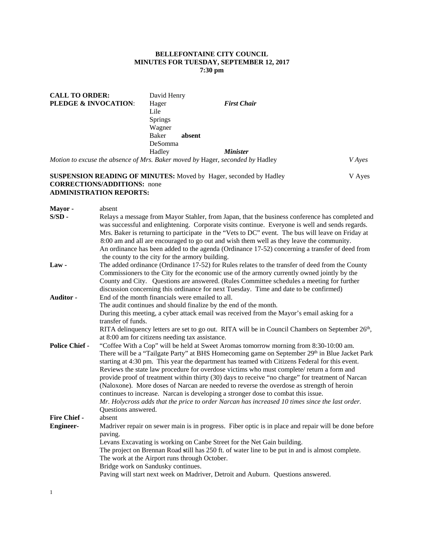# **BELLEFONTAINE CITY COUNCIL MINUTES FOR TUESDAY, SEPTEMBER 12, 2017 7:30 pm**

| <b>CALL TO ORDER:</b>                                                         | David Henry    |        |                        |               |
|-------------------------------------------------------------------------------|----------------|--------|------------------------|---------------|
| <b>PLEDGE &amp; INVOCATION:</b>                                               | Hager          |        | <b>First Chair</b>     |               |
|                                                                               | Lile           |        |                        |               |
|                                                                               | <b>Springs</b> |        |                        |               |
|                                                                               | Wagner         |        |                        |               |
|                                                                               | Baker          | absent |                        |               |
|                                                                               | DeSomma        |        |                        |               |
|                                                                               | Hadley         |        | <i><b>Minister</b></i> |               |
| Motion to excuse the absence of Mrs. Baker moved by Hager, seconded by Hadley |                |        |                        | <i>V</i> Aves |

# **SUSPENSION READING OF MINUTES:** Moved by Hager, seconded by Hadley V Ayes **CORRECTIONS/ADDITIONS:** none **ADMINISTRATION REPORTS:**

| Mayor-                | absent                                                                                                                                                                                                                                                                                                                                                                                |
|-----------------------|---------------------------------------------------------------------------------------------------------------------------------------------------------------------------------------------------------------------------------------------------------------------------------------------------------------------------------------------------------------------------------------|
| $S/SD$ -              | Relays a message from Mayor Stahler, from Japan, that the business conference has completed and<br>was successful and enlightening. Corporate visits continue. Everyone is well and sends regards.<br>Mrs. Baker is returning to participate in the "Vets to DC" event. The bus will leave on Friday at                                                                               |
|                       | 8:00 am and all are encouraged to go out and wish them well as they leave the community.<br>An ordinance has been added to the agenda (Ordinance 17-52) concerning a transfer of deed from                                                                                                                                                                                            |
|                       | the county to the city for the armory building.                                                                                                                                                                                                                                                                                                                                       |
| $Law -$               | The added ordinance (Ordinance 17-52) for Rules relates to the transfer of deed from the County<br>Commissioners to the City for the economic use of the armory currently owned jointly by the<br>County and City. Questions are answered. (Rules Committee schedules a meeting for further                                                                                           |
|                       | discussion concerning this ordinance for next Tuesday. Time and date to be confirmed)                                                                                                                                                                                                                                                                                                 |
| Auditor -             | End of the month financials were emailed to all.                                                                                                                                                                                                                                                                                                                                      |
|                       | The audit continues and should finalize by the end of the month.                                                                                                                                                                                                                                                                                                                      |
|                       | During this meeting, a cyber attack email was received from the Mayor's email asking for a                                                                                                                                                                                                                                                                                            |
|                       | transfer of funds.                                                                                                                                                                                                                                                                                                                                                                    |
|                       | RITA delinquency letters are set to go out. RITA will be in Council Chambers on September $26th$ ,                                                                                                                                                                                                                                                                                    |
|                       | at 8:00 am for citizens needing tax assistance.                                                                                                                                                                                                                                                                                                                                       |
| <b>Police Chief -</b> | "Coffee With a Cop" will be held at Sweet Aromas tomorrow morning from 8:30-10:00 am.<br>There will be a "Tailgate Party" at BHS Homecoming game on September 29th in Blue Jacket Park<br>starting at 4:30 pm. This year the department has teamed with Citizens Federal for this event.<br>Reviews the state law procedure for overdose victims who must complete/ return a form and |
|                       | provide proof of treatment within thirty (30) days to receive "no charge" for treatment of Narcan<br>(Naloxone). More doses of Narcan are needed to reverse the overdose as strength of heroin<br>continues to increase. Narcan is developing a stronger dose to combat this issue.                                                                                                   |
|                       | Mr. Holycross adds that the price to order Narcan has increased 10 times since the last order.                                                                                                                                                                                                                                                                                        |
|                       | Questions answered.                                                                                                                                                                                                                                                                                                                                                                   |
| <b>Fire Chief -</b>   | absent                                                                                                                                                                                                                                                                                                                                                                                |
| <b>Engineer-</b>      | Madriver repair on sewer main is in progress. Fiber optic is in place and repair will be done before<br>paving.                                                                                                                                                                                                                                                                       |
|                       | Levans Excavating is working on Canbe Street for the Net Gain building.                                                                                                                                                                                                                                                                                                               |
|                       | The project on Brennan Road still has 250 ft. of water line to be put in and is almost complete.<br>The work at the Airport runs through October.                                                                                                                                                                                                                                     |
|                       | Bridge work on Sandusky continues.                                                                                                                                                                                                                                                                                                                                                    |
|                       | Paving will start next week on Madriver, Detroit and Auburn. Questions answered.                                                                                                                                                                                                                                                                                                      |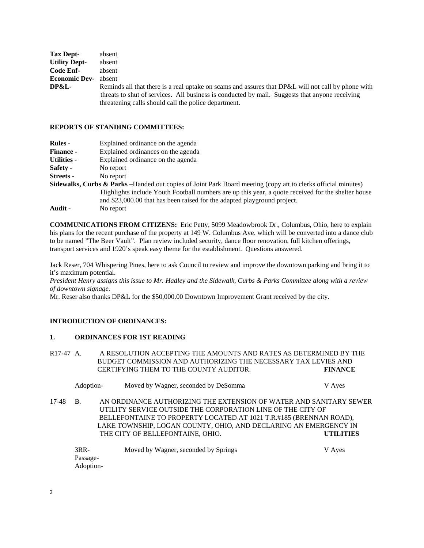| Tax Dept-            | absent                                                                                                                                                                                                                                                       |
|----------------------|--------------------------------------------------------------------------------------------------------------------------------------------------------------------------------------------------------------------------------------------------------------|
| <b>Utility Dept-</b> | absent                                                                                                                                                                                                                                                       |
| Code Enf-            | absent                                                                                                                                                                                                                                                       |
| <b>Economic Dev-</b> | absent                                                                                                                                                                                                                                                       |
| DP&L-                | Reminds all that there is a real uptake on scams and assures that DP&L will not call by phone with<br>threats to shut of services. All business is conducted by mail. Suggests that anyone receiving<br>threatening calls should call the police department. |

#### **REPORTS OF STANDING COMMITTEES:**

| <b>Rules</b> -     | Explained ordinance on the agenda                                                                                         |
|--------------------|---------------------------------------------------------------------------------------------------------------------------|
| <b>Finance -</b>   | Explained ordinances on the agenda                                                                                        |
| <b>Utilities -</b> | Explained ordinance on the agenda                                                                                         |
| Safety -           | No report                                                                                                                 |
| Streets -          | No report                                                                                                                 |
|                    | <b>Sidewalks, Curbs &amp; Parks</b> – Handed out copies of Joint Park Board meeting (copy att to clerks official minutes) |
|                    | Highlights include Youth Football numbers are up this year, a quote received for the shelter house                        |
|                    | and \$23,000.00 that has been raised for the adapted playground project.                                                  |
| Audit -            | No report                                                                                                                 |

**COMMUNICATIONS FROM CITIZENS:** Eric Petty, 5099 Meadowbrook Dr., Columbus, Ohio, here to explain his plans for the recent purchase of the property at 149 W. Columbus Ave. which will be converted into a dance club to be named "The Beer Vault". Plan review included security, dance floor renovation, full kitchen offerings, transport services and 1920's speak easy theme for the establishment. Questions answered.

Jack Reser, 704 Whispering Pines, here to ask Council to review and improve the downtown parking and bring it to it's maximum potential.

*President Henry assigns this issue to Mr. Hadley and the Sidewalk, Curbs & Parks Committee along with a review of downtown signage.* 

Mr. Reser also thanks DP&L for the \$50,000.00 Downtown Improvement Grant received by the city.

# **INTRODUCTION OF ORDINANCES:**

#### **1. ORDINANCES FOR 1ST READING**

| R <sub>17</sub> -47 A. | A RESOLUTION ACCEPTING THE AMOUNTS AND RATES AS DETERMINED BY THE |                |
|------------------------|-------------------------------------------------------------------|----------------|
|                        | BUDGET COMMISSION AND AUTHORIZING THE NECESSARY TAX LEVIES AND    |                |
|                        | CERTIFYING THEM TO THE COUNTY AUDITOR.                            | <b>FINANCE</b> |

| Adoption- | Moved by Wagner, seconded by DeSomma | V Ayes |
|-----------|--------------------------------------|--------|
|-----------|--------------------------------------|--------|

17-48 B. AN ORDINANCE AUTHORIZING THE EXTENSION OF WATER AND SANITARY SEWER UTILITY SERVICE OUTSIDE THE CORPORATION LINE OF THE CITY OF BELLEFONTAINE TO PROPERTY LOCATED AT 1021 T.R.#185 (BRENNAN ROAD), LAKE TOWNSHIP, LOGAN COUNTY, OHIO, AND DECLARING AN EMERGENCY IN THE CITY OF BELLEFONTAINE, OHIO. **UTILITIES** 

| $3RR-$    | Moved by Wagner, seconded by Springs | V Ayes |
|-----------|--------------------------------------|--------|
| Passage-  |                                      |        |
| Adoption- |                                      |        |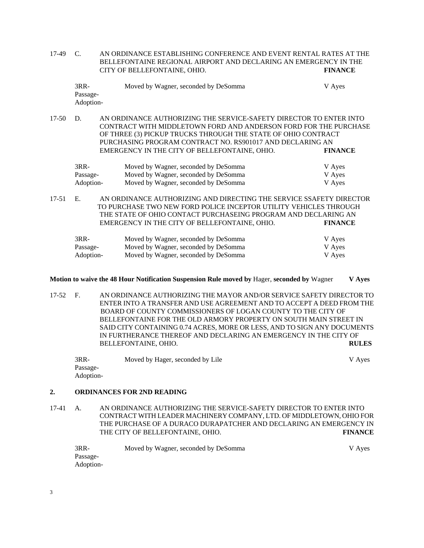17-49 C. AN ORDINANCE ESTABLISHING CONFERENCE AND EVENT RENTAL RATES AT THE BELLEFONTAINE REGIONAL AIRPORT AND DECLARING AN EMERGENCY IN THE CITY OF BELLEFONTAINE, OHIO. **FINANCE** 

| $3RR-$    | Moved by Wagner, seconded by DeSomma | V Ayes |
|-----------|--------------------------------------|--------|
| Passage-  |                                      |        |
| Adoption- |                                      |        |

17-50 D. AN ORDINANCE AUTHORIZING THE SERVICE-SAFETY DIRECTOR TO ENTER INTO CONTRACT WITH MIDDLETOWN FORD AND ANDERSON FORD FOR THE PURCHASE OF THREE (3) PICKUP TRUCKS THROUGH THE STATE OF OHIO CONTRACT PURCHASING PROGRAM CONTRACT NO. RS901017 AND DECLARING AN EMERGENCY IN THE CITY OF BELLEFONTAINE, OHIO. **FINANCE** 

| $3RR-$    | Moved by Wagner, seconded by DeSomma | V Aves |
|-----------|--------------------------------------|--------|
| Passage-  | Moved by Wagner, seconded by DeSomma | V Ayes |
| Adoption- | Moved by Wagner, seconded by DeSomma | V Ayes |

17-51 E. AN ORDINANCE AUTHORIZING AND DIRECTING THE SERVICE SSAFETY DIRECTOR TO PURCHASE TWO NEW FORD POLICE INCEPTOR UTILITY VEHICLES THROUGH THE STATE OF OHIO CONTACT PURCHASEING PROGRAM AND DECLARING AN EMERGENCY IN THE CITY OF BELLEFONTAINE, OHIO. **FINANCE** 

| $3RR-$    | Moved by Wagner, seconded by DeSomma | V Ayes |
|-----------|--------------------------------------|--------|
| Passage-  | Moved by Wagner, seconded by DeSomma | V Ayes |
| Adoption- | Moved by Wagner, seconded by DeSomma | V Ayes |

### **Motion to waive the 48 Hour Notification Suspension Rule moved by** Hager, **seconded by** Wagner **V Ayes**

17-52 F. AN ORDINANCE AUTHORIZING THE MAYOR AND/OR SERVICE SAFETY DIRECTOR TO ENTER INTO A TRANSFER AND USE AGREEMENT AND TO ACCEPT A DEED FROM THE BOARD OF COUNTY COMMISSIONERS OF LOGAN COUNTY TO THE CITY OF BELLEFONTAINE FOR THE OLD ARMORY PROPERTY ON SOUTH MAIN STREET IN SAID CITY CONTAINING 0.74 ACRES, MORE OR LESS, AND TO SIGN ANY DOCUMENTS IN FURTHERANCE THEREOF AND DECLARING AN EMERGENCY IN THE CITY OF BELLEFONTAINE, OHIO. **RULES** 

| $3RR-$    | Moved by Hager, seconded by Lile | V Ayes |
|-----------|----------------------------------|--------|
| Passage-  |                                  |        |
| Adoption- |                                  |        |

## **2. ORDINANCES FOR 2ND READING**

17-41 A. AN ORDINANCE AUTHORIZING THE SERVICE-SAFETY DIRECTOR TO ENTER INTO CONTRACT WITH LEADER MACHINERY COMPANY, LTD. OF MIDDLETOWN, OHIO FOR THE PURCHASE OF A DURACO DURAPATCHER AND DECLARING AN EMERGENCY IN THE CITY OF BELLEFONTAINE, OHIO. **FINANCE** 

| 3RR-      | Moved by Wagner, seconded by DeSomma | V Ayes |
|-----------|--------------------------------------|--------|
| Passage-  |                                      |        |
| Adoption- |                                      |        |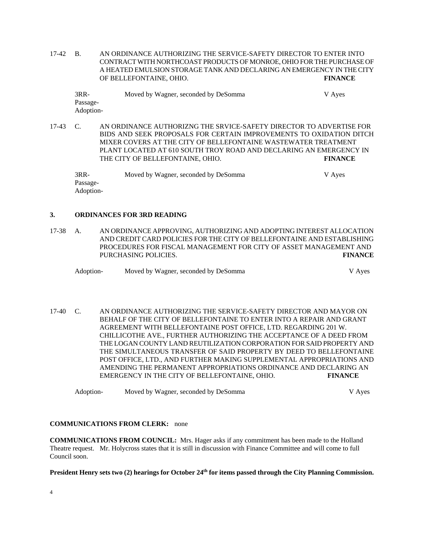17-42 B. AN ORDINANCE AUTHORIZING THE SERVICE-SAFETY DIRECTOR TO ENTER INTO CONTRACT WITH NORTHCOAST PRODUCTS OF MONROE, OHIO FOR THE PURCHASE OF A HEATED EMULSION STORAGE TANK AND DECLARING AN EMERGENCY IN THE CITY OF BELLEFONTAINE, OHIO. **FINANCE** 

| $3RR-$    | Moved by Wagner, seconded by DeSomma | V Aves |
|-----------|--------------------------------------|--------|
| Passage-  |                                      |        |
| Adoption- |                                      |        |

17-43 C. AN ORDINANCE AUTHORIZNG THE SRVICE-SAFETY DIRECTOR TO ADVERTISE FOR BIDS AND SEEK PROPOSALS FOR CERTAIN IMPROVEMENTS TO OXIDATION DITCH MIXER COVERS AT THE CITY OF BELLEFONTAINE WASTEWATER TREATMENT PLANT LOCATED AT 610 SOUTH TROY ROAD AND DECLARING AN EMERGENCY IN THE CITY OF BELLEFONTAINE, OHIO. **FINANCE** 

| $3RR-$    | Moved by Wagner, seconded by DeSomma | V Ayes |
|-----------|--------------------------------------|--------|
| Passage-  |                                      |        |
| Adoption- |                                      |        |

#### **3. ORDINANCES FOR 3RD READING**

17-38 A. AN ORDINANCE APPROVING, AUTHORIZING AND ADOPTING INTEREST ALLOCATION AND CREDIT CARD POLICIES FOR THE CITY OF BELLEFONTAINE AND ESTABLISHING PROCEDURES FOR FISCAL MANAGEMENT FOR CITY OF ASSET MANAGEMENT AND PURCHASING POLICIES. **FINANCE** 

| Adoption- | Moved by Wagner, seconded by DeSomma | V Aves |
|-----------|--------------------------------------|--------|
|-----------|--------------------------------------|--------|

17-40 C. AN ORDINANCE AUTHORIZING THE SERVICE-SAFETY DIRECTOR AND MAYOR ON BEHALF OF THE CITY OF BELLEFONTAINE TO ENTER INTO A REPAIR AND GRANT AGREEMENT WITH BELLEFONTAINE POST OFFICE, LTD. REGARDING 201 W. CHILLICOTHE AVE., FURTHER AUTHORIZING THE ACCEPTANCE OF A DEED FROM THE LOGAN COUNTY LAND REUTILIZATION CORPORATION FOR SAID PROPERTY AND THE SIMULTANEOUS TRANSFER OF SAID PROPERTY BY DEED TO BELLEFONTAINE POST OFFICE, LTD., AND FURTHER MAKING SUPPLEMENTAL APPROPRIATIONS AND AMENDING THE PERMANENT APPROPRIATIONS ORDINANCE AND DECLARING AN EMERGENCY IN THE CITY OF BELLEFONTAINE, OHIO. **FINANCE** 

Adoption-<br>
Moved by Wagner, seconded by DeSomma<br>
V Ayes

#### **COMMUNICATIONS FROM CLERK:** none

**COMMUNICATIONS FROM COUNCIL:** Mrs. Hager asks if any commitment has been made to the Holland Theatre request. Mr. Holycross states that it is still in discussion with Finance Committee and will come to full Council soon.

# President Henry sets two (2) hearings for October 24<sup>th</sup> for items passed through the City Planning Commission.